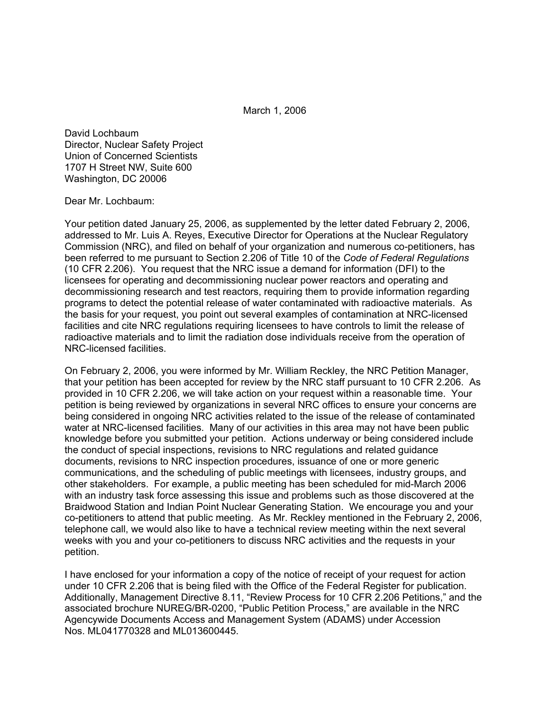March 1, 2006

David Lochbaum Director, Nuclear Safety Project Union of Concerned Scientists 1707 H Street NW, Suite 600 Washington, DC 20006

## Dear Mr. Lochbaum:

Your petition dated January 25, 2006, as supplemented by the letter dated February 2, 2006, addressed to Mr. Luis A. Reyes, Executive Director for Operations at the Nuclear Regulatory Commission (NRC), and filed on behalf of your organization and numerous co-petitioners, has been referred to me pursuant to Section 2.206 of Title 10 of the *Code of Federal Regulations* (10 CFR 2.206). You request that the NRC issue a demand for information (DFI) to the licensees for operating and decommissioning nuclear power reactors and operating and decommissioning research and test reactors, requiring them to provide information regarding programs to detect the potential release of water contaminated with radioactive materials. As the basis for your request, you point out several examples of contamination at NRC-licensed facilities and cite NRC regulations requiring licensees to have controls to limit the release of radioactive materials and to limit the radiation dose individuals receive from the operation of NRC-licensed facilities.

On February 2, 2006, you were informed by Mr. William Reckley, the NRC Petition Manager, that your petition has been accepted for review by the NRC staff pursuant to 10 CFR 2.206. As provided in 10 CFR 2.206, we will take action on your request within a reasonable time. Your petition is being reviewed by organizations in several NRC offices to ensure your concerns are being considered in ongoing NRC activities related to the issue of the release of contaminated water at NRC-licensed facilities. Many of our activities in this area may not have been public knowledge before you submitted your petition. Actions underway or being considered include the conduct of special inspections, revisions to NRC regulations and related guidance documents, revisions to NRC inspection procedures, issuance of one or more generic communications, and the scheduling of public meetings with licensees, industry groups, and other stakeholders. For example, a public meeting has been scheduled for mid-March 2006 with an industry task force assessing this issue and problems such as those discovered at the Braidwood Station and Indian Point Nuclear Generating Station. We encourage you and your co-petitioners to attend that public meeting. As Mr. Reckley mentioned in the February 2, 2006, telephone call, we would also like to have a technical review meeting within the next several weeks with you and your co-petitioners to discuss NRC activities and the requests in your petition.

I have enclosed for your information a copy of the notice of receipt of your request for action under 10 CFR 2.206 that is being filed with the Office of the Federal Register for publication. Additionally, Management Directive 8.11, "Review Process for 10 CFR 2.206 Petitions," and the associated brochure NUREG/BR-0200, "Public Petition Process," are available in the NRC Agencywide Documents Access and Management System (ADAMS) under Accession Nos. ML041770328 and ML013600445.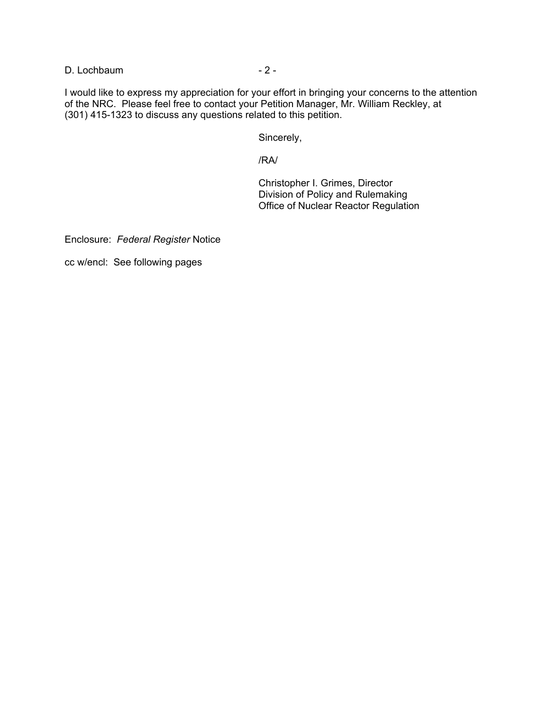D. Lochbaum - 2 -

I would like to express my appreciation for your effort in bringing your concerns to the attention of the NRC. Please feel free to contact your Petition Manager, Mr. William Reckley, at (301) 415-1323 to discuss any questions related to this petition.

Sincerely,

/RA/

Christopher I. Grimes, Director Division of Policy and Rulemaking Office of Nuclear Reactor Regulation

Enclosure: *Federal Register* Notice

cc w/encl: See following pages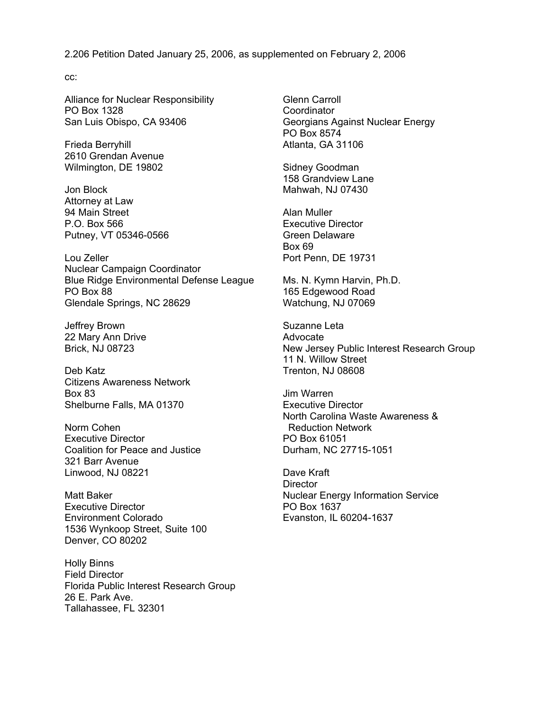2.206 Petition Dated January 25, 2006, as supplemented on February 2, 2006

cc:

Alliance for Nuclear Responsibility PO Box 1328 San Luis Obispo, CA 93406

Frieda Berryhill 2610 Grendan Avenue Wilmington, DE 19802

Jon Block Attorney at Law 94 Main Street P.O. Box 566 Putney, VT 05346-0566

Lou Zeller Nuclear Campaign Coordinator Blue Ridge Environmental Defense League PO Box 88 Glendale Springs, NC 28629

Jeffrey Brown 22 Mary Ann Drive Brick, NJ 08723

Deb Katz Citizens Awareness Network Box 83 Shelburne Falls, MA 01370

Norm Cohen Executive Director Coalition for Peace and Justice 321 Barr Avenue Linwood, NJ 08221

Matt Baker Executive Director Environment Colorado 1536 Wynkoop Street, Suite 100 Denver, CO 80202

Holly Binns Field Director Florida Public Interest Research Group 26 E. Park Ave. Tallahassee, FL 32301

Glenn Carroll **Coordinator** Georgians Against Nuclear Energy PO Box 8574 Atlanta, GA 31106

Sidney Goodman 158 Grandview Lane Mahwah, NJ 07430

Alan Muller Executive Director Green Delaware Box 69 Port Penn, DE 19731

Ms. N. Kymn Harvin, Ph.D. 165 Edgewood Road Watchung, NJ 07069

Suzanne Leta Advocate New Jersey Public Interest Research Group 11 N. Willow Street Trenton, NJ 08608

Jim Warren Executive Director North Carolina Waste Awareness & Reduction Network PO Box 61051 Durham, NC 27715-1051

Dave Kraft **Director** Nuclear Energy Information Service PO Box 1637 Evanston, IL 60204-1637